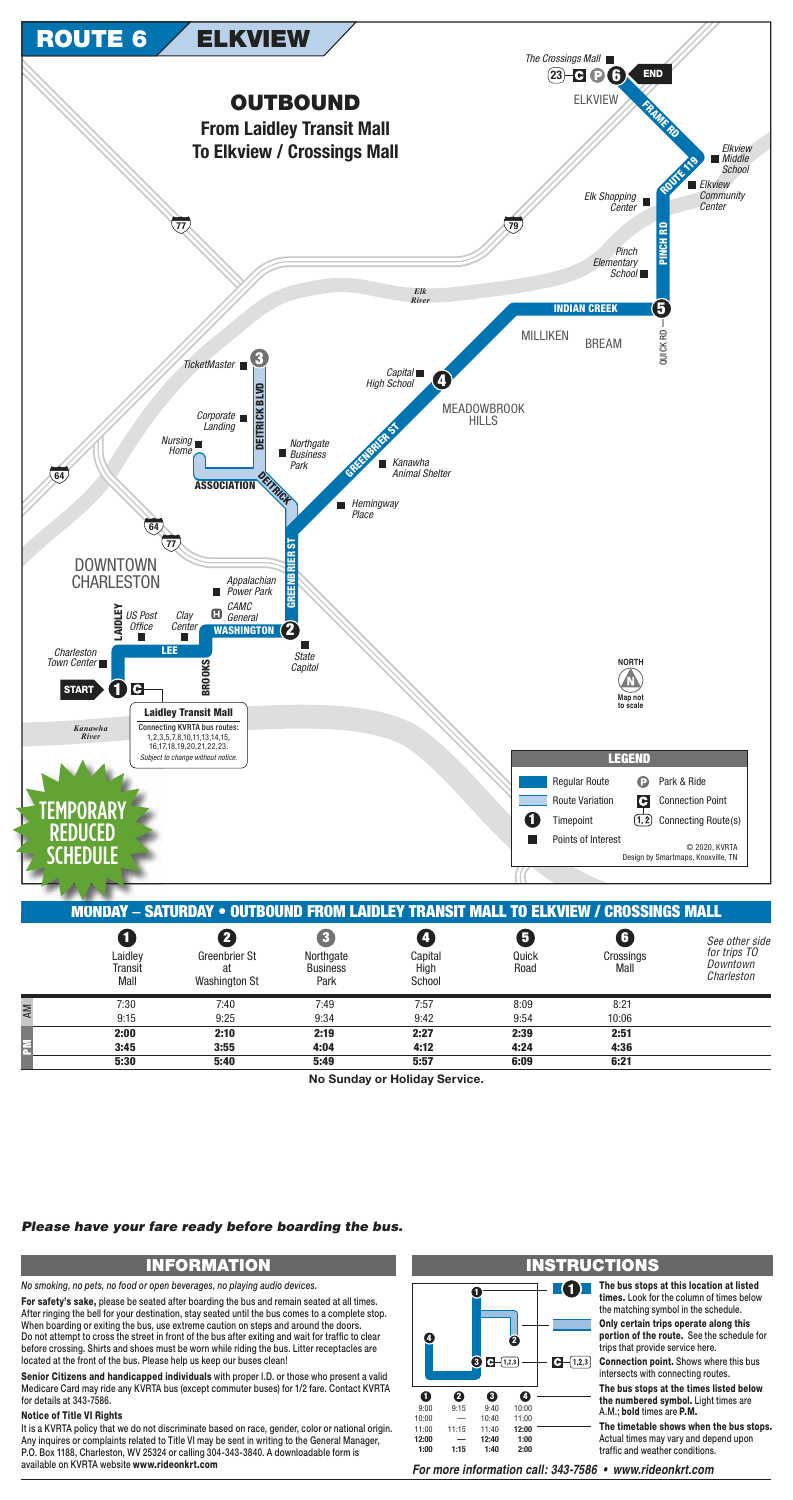

|                            | <b>MONDAY - SATURDAY • OUTBOUND FROM LAIDLEY TRANSIT MALL TO ELKVIEW / CROSSINGS MALL</b> |                                      |                           |                    |                        |                                                          |
|----------------------------|-------------------------------------------------------------------------------------------|--------------------------------------|---------------------------|--------------------|------------------------|----------------------------------------------------------|
| Laidley<br>Transit<br>Mall | Greenbrier St<br>at<br><b>Washington St</b>                                               | Northgate<br><b>Business</b><br>Park | Capital<br>High<br>School | Ø<br>Quick<br>Road | G<br>Crossings<br>Mall | See other side<br>for trips TO<br>Downtown<br>Charleston |
| 7:30                       | 7:40                                                                                      | 7:49                                 | 7:57                      | 8:09               | 8:21                   |                                                          |
| 9:15                       | 9:25                                                                                      | 9:34                                 | 9:42                      | 9:54               | 10:06                  |                                                          |
| 2:00                       | 2:10                                                                                      | 2:19                                 | 2:27                      | 2:39               | 2:51                   |                                                          |
| 3:45                       | 3:55                                                                                      | 4:04                                 | 4:12                      | 4:24               | 4:36                   |                                                          |
| 5.30                       | 5.40                                                                                      | 5.40                                 | 5.57                      | G.NQ               | 6.21                   |                                                          |

No Sunday or Holiday Service.

## Please have your fare ready before boarding the bus.

# **INFORMATION**

No smoking, no pets, no food or open beverages, no playing audio devices.

For safety's sake, please be seated after boarding the bus and remain seated at all times. After ringing the bell for your destination, stay seated until the bus comes to a complete stop. When boarding or exiting the bus, use extreme caution on steps and around the doors. Do not attempt to cross the street in front of the bus after exiting and wait for traffic to clear before crossing. Shirts and shoes must be worn while riding the bus. Litter receptacles are located at the front of the bus. Please help us keep our buses clean!

Senior Citizens and handicapped individuals with proper I.D. or those who present a valid Medicare Card may ride any KVRTA bus (except commuter buses) for 1/2 fare. Contact KVRTA for details at 343-7586.

### **Notice of Title VI Rights**

It is a KVRTA policy that we do not discriminate based on race, gender, color or national origin. Any inquires or complaints related to Title VI may be sent in writing to the General Manager, P.O. Box 1188, Charleston, WV 25324 or calling 304-343-3840. A downloadable form is available on KVRTA website www.rideonkrt.com

#### Ø  $\odot$   $\Box$   $(1,2,3)$  $\bigodot - (1,2,3)$  $\mathbf 0$ ❷ ❸  $\bullet$  $9:15$ 10:00  $9:00$  $9:40$  $10:00$ 11:00 10:40  $11:15$ 11:00 11:40 12:00 12:00 12:40  $1:00$  $1:00$  $1:15$  $1:40$  $2:00$

## **INSTRUCTIONS**

The bus stops at this location at listed times. Look for the column of times below the matching symbol in the schedule.

> Only certain trips operate along this portion of the route. See the schedule for trips that provide service here.

**Connection point.** Shows where this bus intersects with connecting routes.

The bus stops at the times listed below the numbered symbol. Light times are A.M.: bold times are P.M.

The timetable shows when the bus stops. Actual times may vary and depend upon traffic and weather conditions.

For more information call: 343-7586 • www.rideonkrt.com